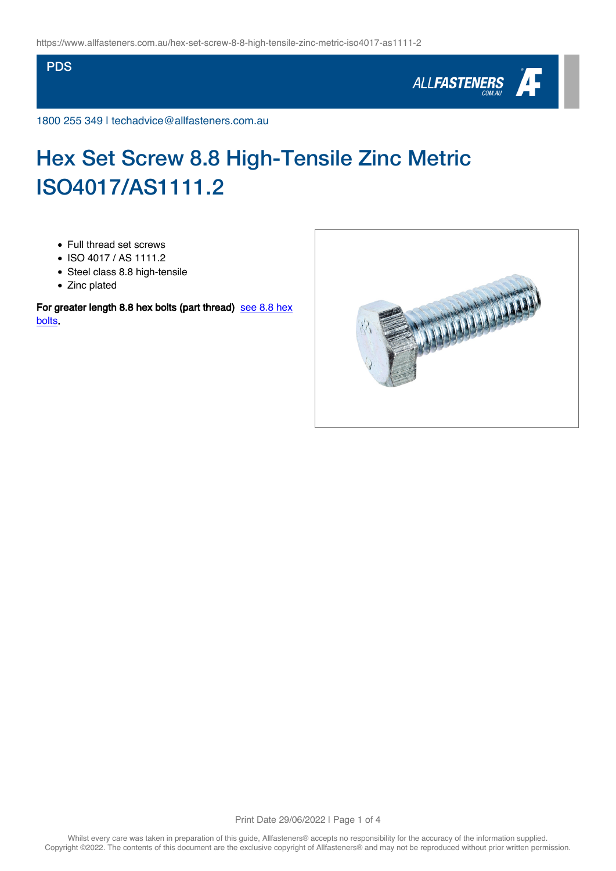#### **PDS**



1800 255 349 | techadvice@allfasteners.com.au

# Hex Set Screw 8.8 High-Tensile Zinc Metric ISO4017/AS1111.2

- Full thread set screws
- ISO 4017 / AS 1111.2
- Steel class 8.8 high-tensile
- Zinc plated

For greater length 8.8 hex bolts (part thread) [see 8.8 hex](https://www.allfasteners.com.au/hex-bolt-8-8-high-tensile-zinc-iso4014-as1111-1) [bolts.](https://www.allfasteners.com.au/hex-bolt-8-8-high-tensile-zinc-iso4014-as1111-1)

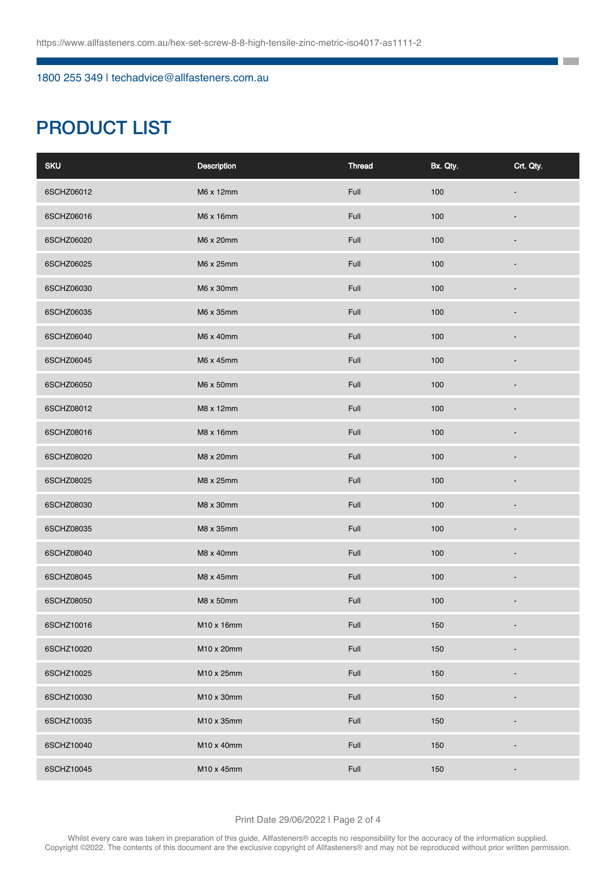1800 255 349 | techadvice@allfasteners.com.au

# PRODUCT LIST

| <b>SKU</b> | Description | <b>Thread</b> | Bx. Qty. | Crt. Qty. |
|------------|-------------|---------------|----------|-----------|
| 6SCHZ06012 | M6 x 12mm   | Full          | 100      |           |
| 6SCHZ06016 | M6 x 16mm   | Full          | 100      |           |
| 6SCHZ06020 | M6 x 20mm   | Full          | 100      |           |
| 6SCHZ06025 | M6 x 25mm   | Full          | 100      |           |
| 6SCHZ06030 | M6 x 30mm   | Full          | 100      |           |
| 6SCHZ06035 | M6 x 35mm   | Full          | 100      |           |
| 6SCHZ06040 | M6 x 40mm   | Full          | 100      |           |
| 6SCHZ06045 | M6 x 45mm   | Full          | 100      |           |
| 6SCHZ06050 | M6 x 50mm   | Full          | 100      |           |
| 6SCHZ08012 | M8 x 12mm   | Full          | 100      |           |
| 6SCHZ08016 | M8 x 16mm   | Full          | 100      |           |
| 6SCHZ08020 | M8 x 20mm   | Full          | 100      |           |
| 6SCHZ08025 | M8 x 25mm   | Full          | 100      |           |
| 6SCHZ08030 | M8 x 30mm   | Full          | 100      |           |
| 6SCHZ08035 | M8 x 35mm   | Full          | 100      |           |
| 6SCHZ08040 | M8 x 40mm   | Full          | 100      |           |
| 6SCHZ08045 | M8 x 45mm   | Full          | 100      |           |
| 6SCHZ08050 | M8 x 50mm   | Full          | 100      |           |
| 6SCHZ10016 | M10 x 16mm  | Full          | 150      | ٠         |
| 6SCHZ10020 | M10 x 20mm  | Full          | 150      |           |
| 6SCHZ10025 | M10 x 25mm  | Full          | 150      |           |
| 6SCHZ10030 | M10 x 30mm  | Full          | 150      |           |
| 6SCHZ10035 | M10 x 35mm  | Full          | 150      |           |
| 6SCHZ10040 | M10 x 40mm  | Full          | 150      |           |
| 6SCHZ10045 | M10 x 45mm  | Full          | 150      |           |

**The Co**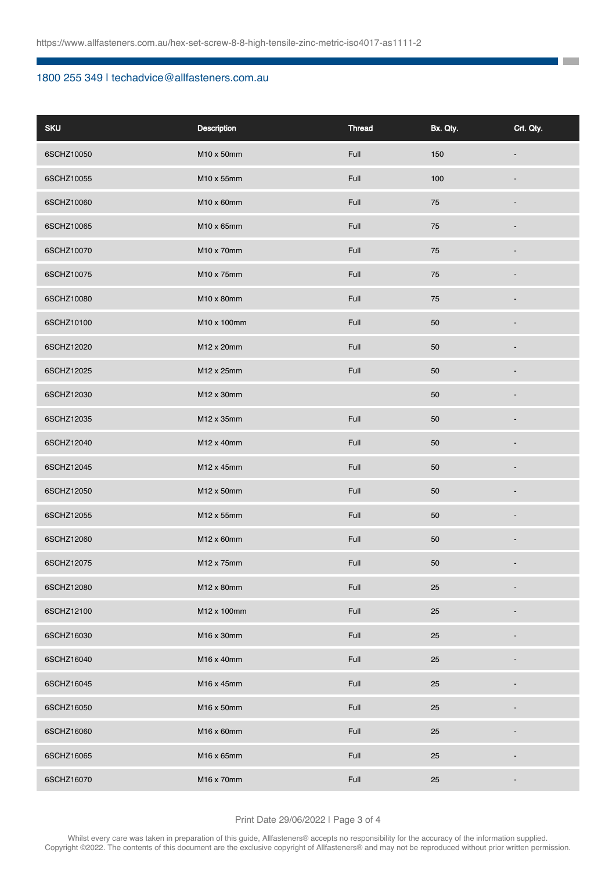### 1800 255 349 | techadvice@allfasteners.com.au

| <b>SKU</b> | <b>Description</b> | <b>Thread</b> | Bx. Qty. | Crt. Qty. |
|------------|--------------------|---------------|----------|-----------|
| 6SCHZ10050 | M10 x 50mm         | Full          | 150      |           |
| 6SCHZ10055 | M10 x 55mm         | Full          | 100      |           |
| 6SCHZ10060 | M10 x 60mm         | Full          | 75       |           |
| 6SCHZ10065 | M10 x 65mm         | Full          | 75       |           |
| 6SCHZ10070 | M10 x 70mm         | Full          | 75       |           |
| 6SCHZ10075 | M10 x 75mm         | Full          | 75       |           |
| 6SCHZ10080 | M10 x 80mm         | Full          | 75       |           |
| 6SCHZ10100 | M10 x 100mm        | Full          | 50       |           |
| 6SCHZ12020 | M12 x 20mm         | Full          | 50       |           |
| 6SCHZ12025 | M12 x 25mm         | Full          | 50       |           |
| 6SCHZ12030 | M12 x 30mm         |               | 50       |           |
| 6SCHZ12035 | M12 x 35mm         | Full          | 50       |           |
| 6SCHZ12040 | M12 x 40mm         | Full          | 50       |           |
| 6SCHZ12045 | M12 x 45mm         | Full          | 50       |           |
| 6SCHZ12050 | M12 x 50mm         | Full          | 50       |           |
| 6SCHZ12055 | M12 x 55mm         | Full          | 50       |           |
| 6SCHZ12060 | M12 x 60mm         | Full          | 50       |           |
| 6SCHZ12075 | M12 x 75mm         | Full          | 50       |           |
| 6SCHZ12080 | M12 x 80mm         | Full          | 25       |           |
| 6SCHZ12100 | M12 x 100mm        | Full          | 25       |           |
| 6SCHZ16030 | M16 x 30mm         | Full          | $25\,$   |           |
| 6SCHZ16040 | M16 x 40mm         | Full          | 25       |           |
| 6SCHZ16045 | M16 x 45mm         | Full          | 25       |           |
| 6SCHZ16050 | M16 x 50mm         | Full          | 25       |           |
| 6SCHZ16060 | M16 x 60mm         | Full          | 25       |           |
| 6SCHZ16065 | M16 x 65mm         | Full          | 25       |           |
| 6SCHZ16070 | M16 x 70mm         | Full          | 25       |           |

**College** 

#### Print Date 29/06/2022 | Page 3 of 4

Whilst every care was taken in preparation of this guide, Allfasteners® accepts no responsibility for the accuracy of the information supplied. Copyright ©2022. The contents of this document are the exclusive copyright of Allfasteners® and may not be reproduced without prior written permission.